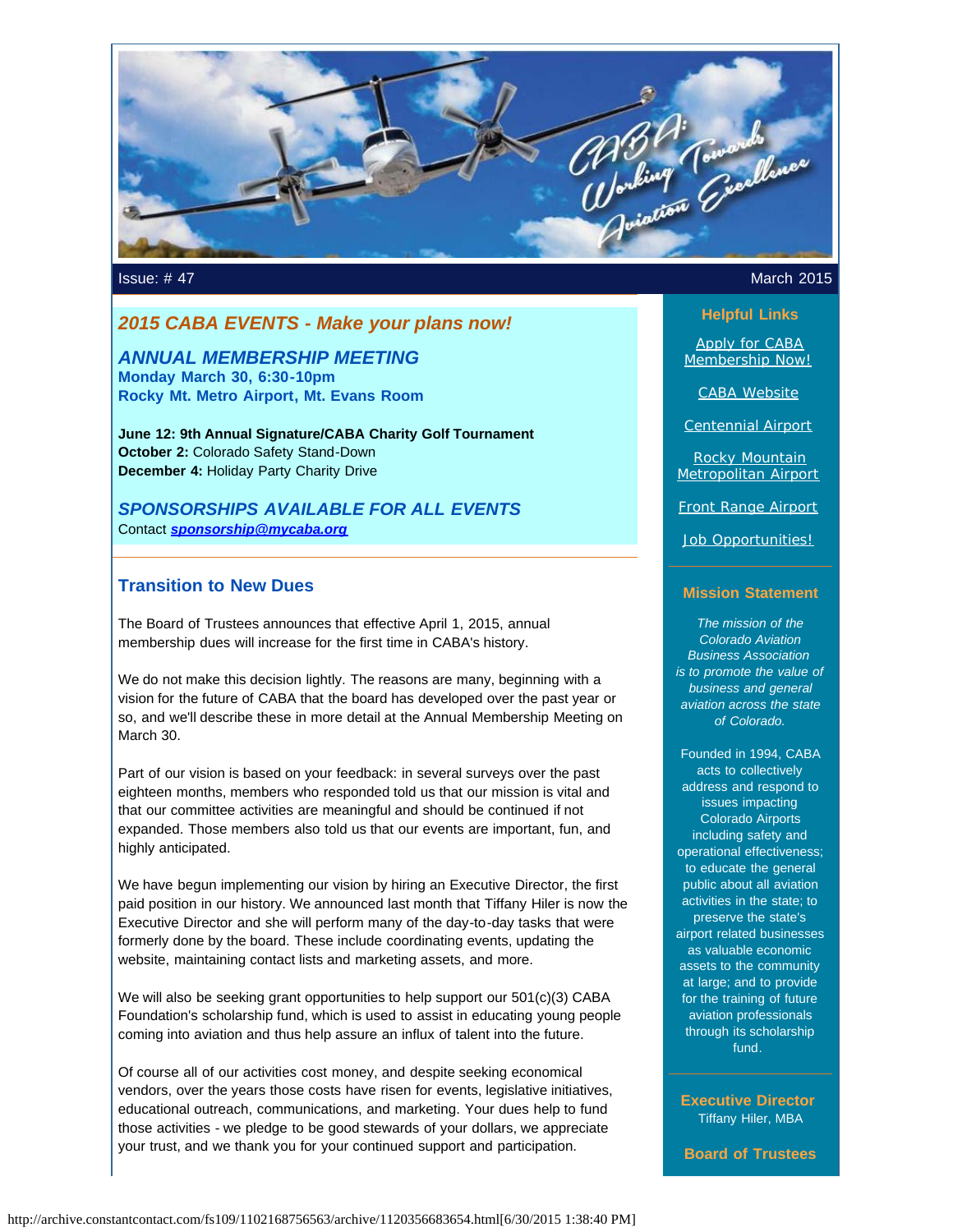

### *2015 CABA EVENTS - Make your plans now!*

*ANNUAL MEMBERSHIP MEETING* **Monday March 30, 6:30-10pm Rocky Mt. Metro Airport, Mt. Evans Room**

**June 12: 9th Annual Signature/CABA Charity Golf Tournament October 2:** Colorado Safety Stand-Down **December 4:** Holiday Party Charity Drive

*SPONSORSHIPS AVAILABLE FOR ALL EVENTS* Contact *[sponsorship@mycaba.org](mailto:sponsorship@mycaba.org)*

#### **Transition to New Dues**

The Board of Trustees announces that effective April 1, 2015, annual membership dues will increase for the first time in CABA's history.

We do not make this decision lightly. The reasons are many, beginning with a vision for the future of CABA that the board has developed over the past year or so, and we'll describe these in more detail at the Annual Membership Meeting on March 30.

Part of our vision is based on your feedback: in several surveys over the past eighteen months, members who responded told us that our mission is vital and that our committee activities are meaningful and should be continued if not expanded. Those members also told us that our events are important, fun, and highly anticipated.

We have begun implementing our vision by hiring an Executive Director, the first paid position in our history. We announced last month that Tiffany Hiler is now the Executive Director and she will perform many of the day-to-day tasks that were formerly done by the board. These include coordinating events, updating the website, maintaining contact lists and marketing assets, and more.

We will also be seeking grant opportunities to help support our 501(c)(3) CABA Foundation's scholarship fund, which is used to assist in educating young people coming into aviation and thus help assure an influx of talent into the future.

Of course all of our activities cost money, and despite seeking economical vendors, over the years those costs have risen for events, legislative initiatives, educational outreach, communications, and marketing. Your dues help to fund those activities - we pledge to be good stewards of your dollars, we appreciate your trust, and we thank you for your continued support and participation.

#### **Issue: #47 March 2015**

#### **Helpful Links**

[Apply for CABA](http://www.mycaba.org/application?utm_source=Newsletter+March+2015&utm_campaign=March+2015+Newsletter&utm_medium=email) [Membership Now!](http://www.mycaba.org/application?utm_source=Newsletter+March+2015&utm_campaign=March+2015+Newsletter&utm_medium=email)

[CABA Website](http://www.mycaba.org/?utm_source=Newsletter+March+2015&utm_campaign=March+2015+Newsletter&utm_medium=email)

[Centennial Airport](http://centennialairport.com/?utm_source=Newsletter+March+2015&utm_campaign=March+2015+Newsletter&utm_medium=email)

[Rocky Mountain](http://jeffco.us/airport/?utm_source=Newsletter+March+2015&utm_campaign=March+2015+Newsletter&utm_medium=email) [Metropolitan Airport](http://jeffco.us/airport/?utm_source=Newsletter+March+2015&utm_campaign=March+2015+Newsletter&utm_medium=email)

[Front Range Airport](http://www.ftg-airport.com/?utm_source=Newsletter+March+2015&utm_campaign=March+2015+Newsletter&utm_medium=email)

[Job Opportunities!](http://mycaba.org/JobOps?utm_source=Newsletter+March+2015&utm_campaign=March+2015+Newsletter&utm_medium=email)

#### **Mission Statement**

*The mission of the Colorado Aviation Business Association is to promote the value of business and general aviation across the state of Colorado.*

Founded in 1994, CABA acts to collectively address and respond to issues impacting Colorado Airports including safety and operational effectiveness; to educate the general public about all aviation activities in the state; to preserve the state's airport related businesses as valuable economic assets to the community at large; and to provide for the training of future aviation professionals through its scholarship fund.

**Executive Director** Tiffany Hiler, MBA

**Board of Trustees**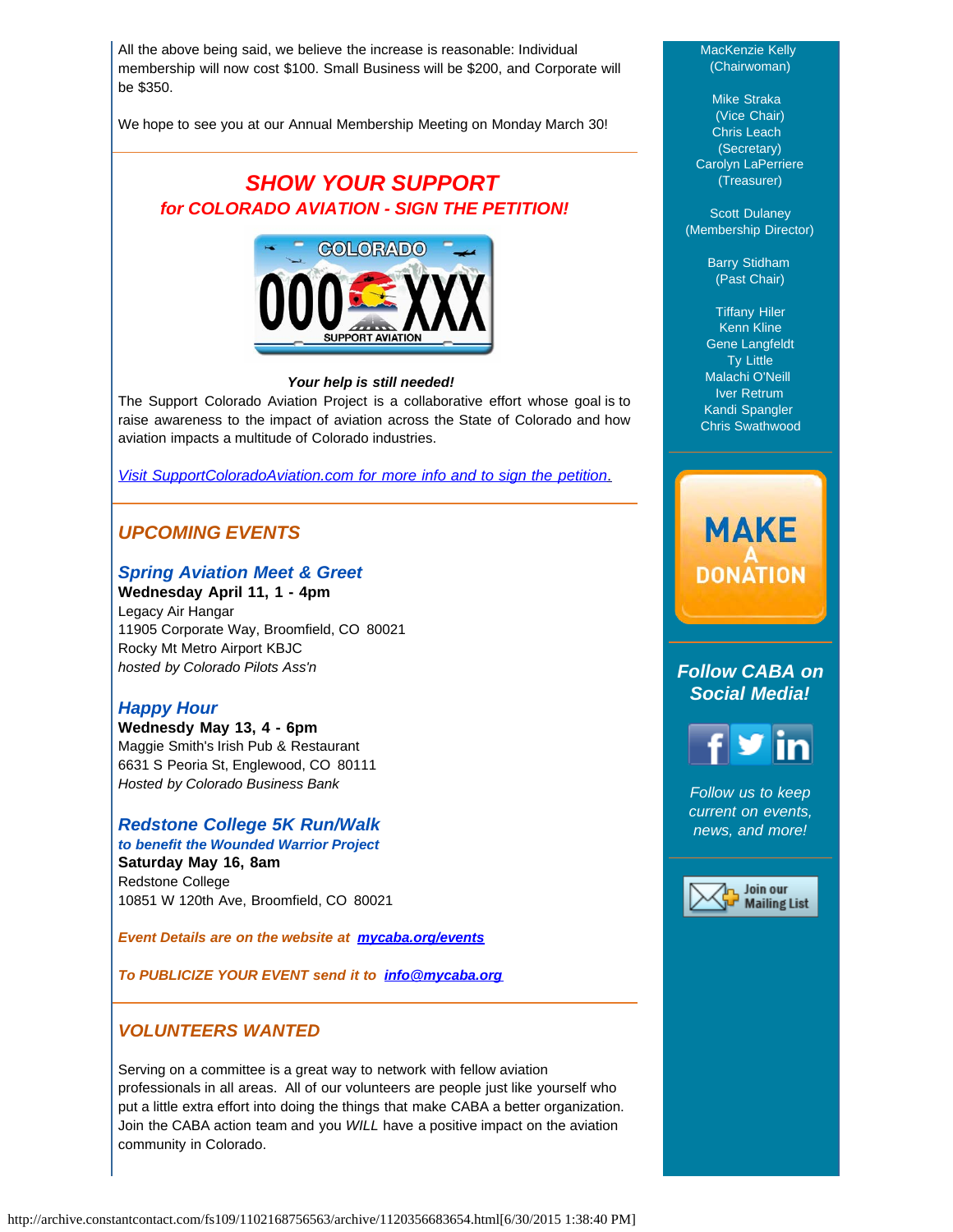All the above being said, we believe the increase is reasonable: Individual membership will now cost \$100. Small Business will be \$200, and Corporate will be \$350.

We hope to see you at our Annual Membership Meeting on Monday March 30!

# *SHOW YOUR SUPPORT for COLORADO AVIATION - SIGN THE PETITION!*



#### *Your help is still needed!*

The Support Colorado Aviation Project is a collaborative effort whose goal is to raise awareness to the impact of aviation across the State of Colorado and how aviation impacts a multitude of Colorado industries.

*[Visit SupportColoradoAviation.com for more info and to sign the petition](http://www.supportcoloradoaviation.com/?utm_source=Newsletter+March+2015&utm_campaign=March+2015+Newsletter&utm_medium=email)*[.](http://www.supportcoloradoaviation.com/?utm_source=Newsletter+March+2015&utm_campaign=March+2015+Newsletter&utm_medium=email)

## *UPCOMING EVENTS*

#### *Spring Aviation Meet & Greet*

**Wednesday April 11, 1 - 4pm**  Legacy Air Hangar 11905 Corporate Way, Broomfield, CO 80021 Rocky Mt Metro Airport KBJC *hosted by Colorado Pilots Ass'n*

#### *Happy Hour*

**Wednesdy May 13, 4 - 6pm** Maggie Smith's Irish Pub & Restaurant 6631 S Peoria St, Englewood, CO 80111 *Hosted by Colorado Business Bank*

#### *Redstone College 5K Run/Walk*

*to benefit the Wounded Warrior Project*  **Saturday May 16, 8am** Redstone College 10851 W 120th Ave, Broomfield, CO 80021

*Event Details are on the website at [mycaba.org/events](http://mycaba.org/events?utm_source=Newsletter+March+2015&utm_campaign=March+2015+Newsletter&utm_medium=email)*

*To PUBLICIZE YOUR EVENT send it to [info@mycaba.org](mailto:info@mycaba.org)*

#### *VOLUNTEERS WANTED*

Serving on a committee is a great way to network with fellow aviation professionals in all areas. All of our volunteers are people just like yourself who put a little extra effort into doing the things that make CABA a better organization. Join the CABA action team and you *WILL* have a positive impact on the aviation community in Colorado.

#### MacKenzie Kelly (Chairwoman)

Mike Straka (Vice Chair) Chris Leach (Secretary) Carolyn LaPerriere (Treasurer)

Scott Dulaney (Membership Director)

> Barry Stidham (Past Chair)

Tiffany Hiler Kenn Kline Gene Langfeldt Ty Little Malachi O'Neill Iver Retrum Kandi Spangler Chris Swathwood

# **MAKE DONATION**

## *Follow CABA on Social Media!*



*Follow us to keep current on events, news, and more!*